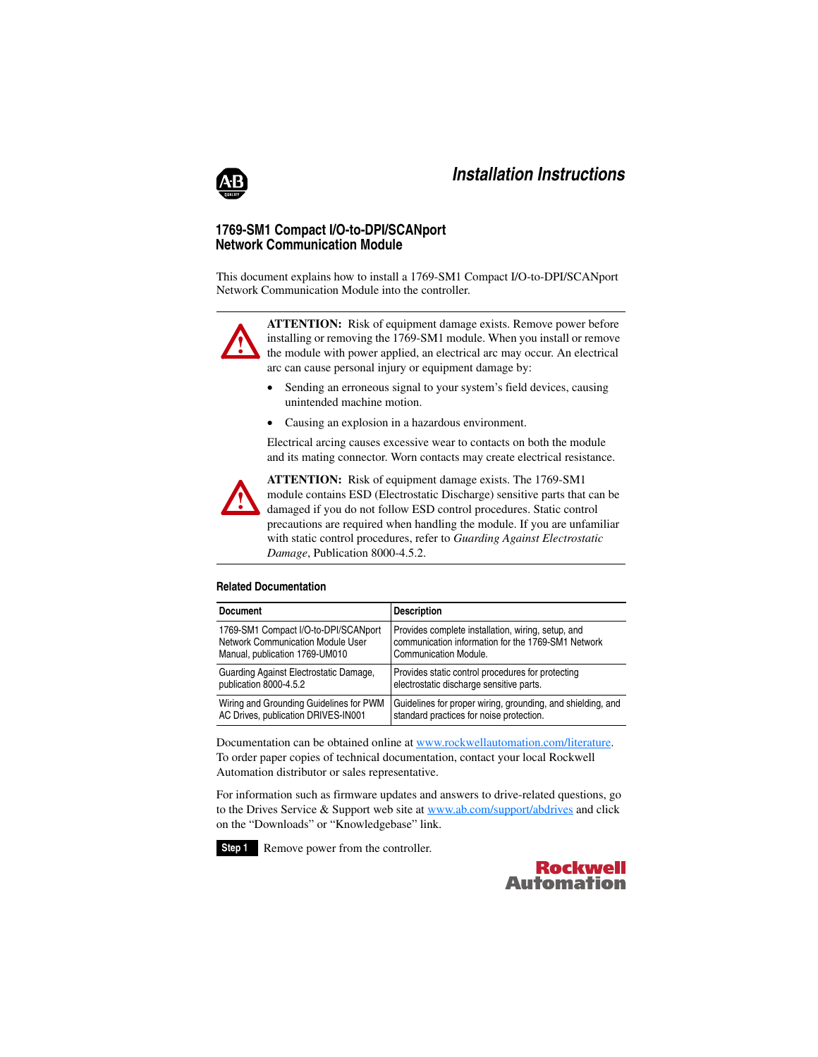

# **1769-SM1 Compact I/O-to-DPI/SCANport Network Communication Module**

This document explains how to install a 1769-SM1 Compact I/O-to-DPI/SCANport Network Communication Module into the controller.



**ATTENTION:** Risk of equipment damage exists. Remove power before installing or removing the 1769-SM1 module. When you install or remove the module with power applied, an electrical arc may occur. An electrical arc can cause personal injury or equipment damage by:

- • Sending an erroneous signal to your system's field devices, causing unintended machine motion.
- •Causing an explosion in a hazardous environment.

Electrical arcing causes excessive wear to contacts on both the module and its mating connector. Worn contacts may create electrical resistance.



**ATTENTION:** Risk of equipment damage exists. The 1769-SM1 module contains ESD (Electrostatic Discharge) sensitive parts that can be damaged if you do not follow ESD control procedures. Static control precautions are required when handling the module. If you are unfamiliar with static control procedures, refer to *Guarding Against Electrostatic Damage*, Publication 8000-4.5.2.

### **Related Documentation**

| <b>Document</b>                         | <b>Description</b>                                          |
|-----------------------------------------|-------------------------------------------------------------|
| 1769-SM1 Compact I/O-to-DPI/SCANport    | Provides complete installation, wiring, setup, and          |
| Network Communication Module User       | communication information for the 1769-SM1 Network          |
| Manual, publication 1769-UM010          | Communication Module.                                       |
| Guarding Against Electrostatic Damage,  | Provides static control procedures for protecting           |
| publication 8000-4.5.2                  | electrostatic discharge sensitive parts.                    |
| Wiring and Grounding Guidelines for PWM | Guidelines for proper wiring, grounding, and shielding, and |
| AC Drives, publication DRIVES-IN001     | standard practices for noise protection.                    |

Documentation can be obtained online at <www.rockwellautomation.com/literature>. To order paper copies of technical documentation, contact your local Rockwell Automation distributor or sales representative.

For information such as firmware updates and answers to drive-related questions, go to the Drives Service & Support web site at<www.ab.com/support/abdrives> and click on the "Downloads" or "Knowledgebase" link.

**Step 1** Remove power from the controller.

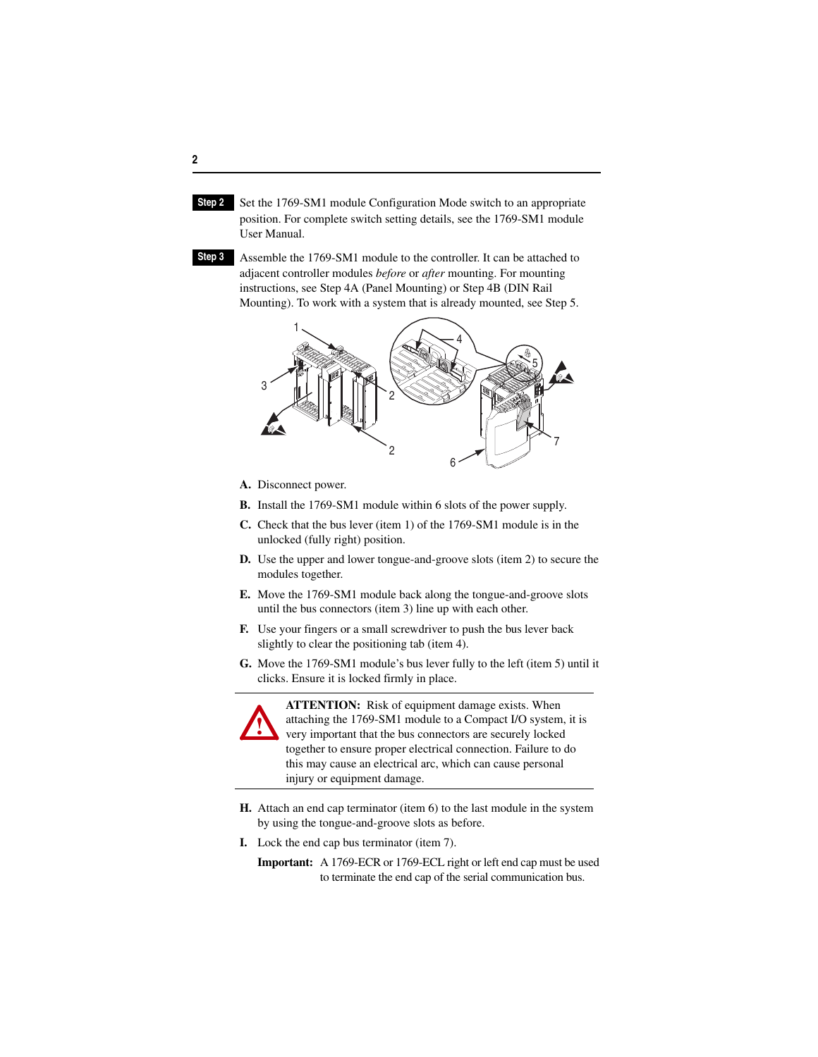- **Step 2** Set the 1769-SM1 module Configuration Mode switch to an appropriate position. For complete switch setting details, see the 1769-SM1 module User Manual.
- **Step 3** Assemble the 1769-SM1 module to the controller. It can be attached to adjacent controller modules *before* or *after* mounting. For mounting instructions, see Step 4A (Panel Mounting) or Step 4B (DIN Rail Mounting). To work with a system that is already mounted, see Step 5.



- **A.** Disconnect power.
- **B.** Install the 1769-SM1 module within 6 slots of the power supply.
- **C.** Check that the bus lever (item 1) of the 1769-SM1 module is in the unlocked (fully right) position.
- **D.** Use the upper and lower tongue-and-groove slots (item 2) to secure the modules together.
- **E.** Move the 1769-SM1 module back along the tongue-and-groove slots until the bus connectors (item 3) line up with each other.
- **F.** Use your fingers or a small screwdriver to push the bus lever back slightly to clear the positioning tab (item 4).
- **G.** Move the 1769-SM1 module's bus lever fully to the left (item 5) until it clicks. Ensure it is locked firmly in place.



**ATTENTION:** Risk of equipment damage exists. When attaching the 1769-SM1 module to a Compact I/O system, it is very important that the bus connectors are securely locked together to ensure proper electrical connection. Failure to do this may cause an electrical arc, which can cause personal injury or equipment damage.

- **H.** Attach an end cap terminator (item 6) to the last module in the system by using the tongue-and-groove slots as before.
- **I.** Lock the end cap bus terminator (item 7).
	- **Important:** A 1769-ECR or 1769-ECL right or left end cap must be used to terminate the end cap of the serial communication bus.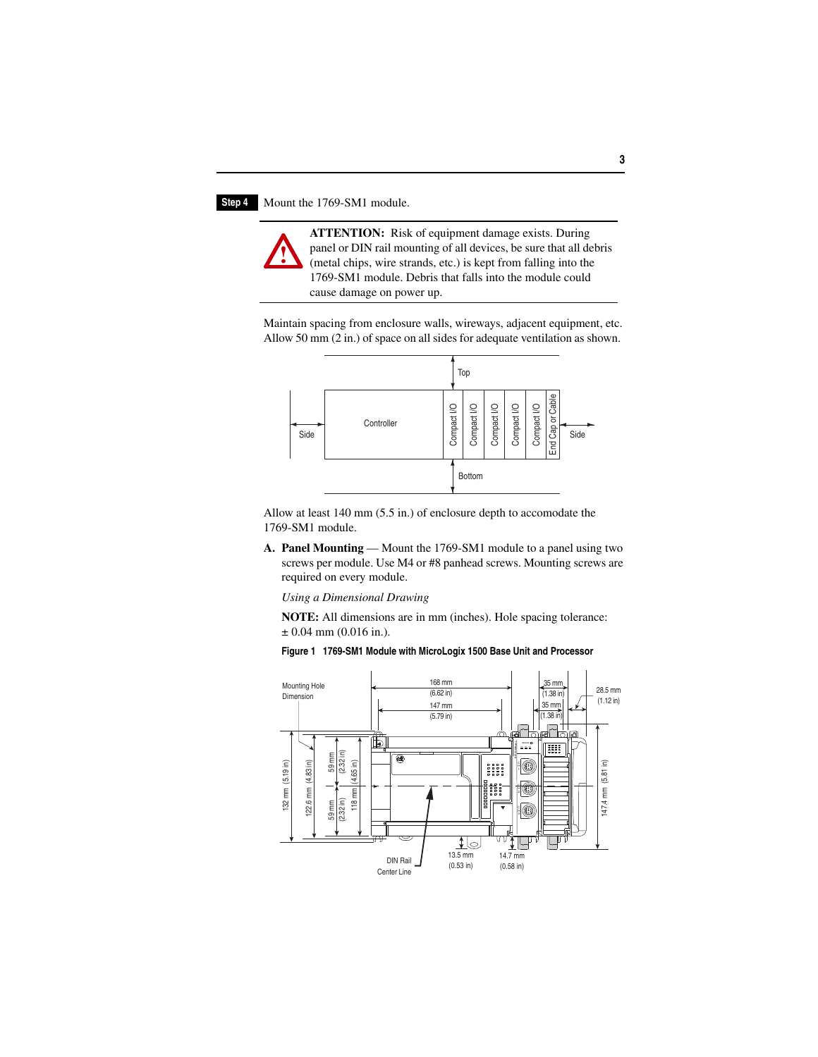### **Step 4** Mount the 1769-SM1 module.

**!**

**ATTENTION:** Risk of equipment damage exists. During panel or DIN rail mounting of all devices, be sure that all debris (metal chips, wire strands, etc.) is kept from falling into the 1769-SM1 module. Debris that falls into the module could cause damage on power up.

Maintain spacing from enclosure walls, wireways, adjacent equipment, etc. Allow 50 mm (2 in.) of space on all sides for adequate ventilation as shown.



Allow at least 140 mm (5.5 in.) of enclosure depth to accomodate the 1769-SM1 module.

**A. Panel Mounting** — Mount the 1769-SM1 module to a panel using two screws per module. Use M4 or #8 panhead screws. Mounting screws are required on every module.

*Using a Dimensional Drawing*

**NOTE:** All dimensions are in mm (inches). Hole spacing tolerance:  $\pm 0.04$  mm (0.016 in.).



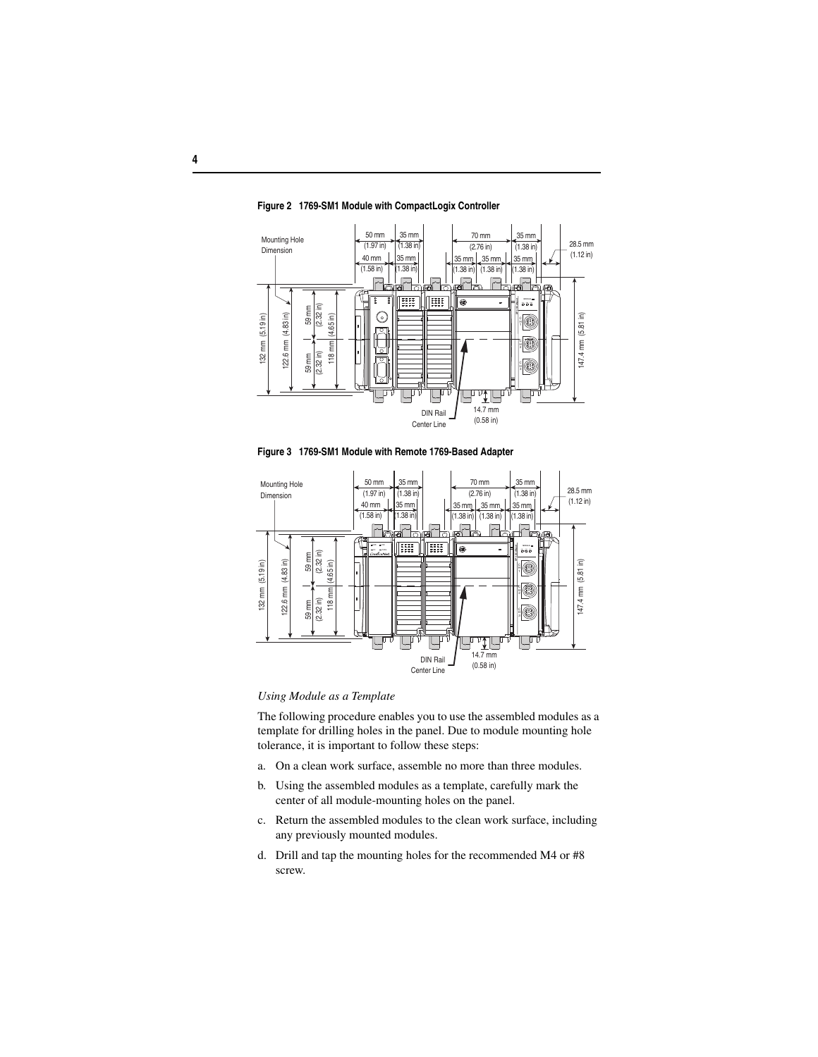

**Figure 2 1769-SM1 Module with CompactLogix Controller** 

**Figure 3 1769-SM1 Module with Remote 1769-Based Adapter** 



### *Using Module as a Template*

The following procedure enables you to use the assembled modules as a template for drilling holes in the panel. Due to module mounting hole tolerance, it is important to follow these steps:

- a. On a clean work surface, assemble no more than three modules.
- b. Using the assembled modules as a template, carefully mark the center of all module-mounting holes on the panel.
- c. Return the assembled modules to the clean work surface, including any previously mounted modules.
- d. Drill and tap the mounting holes for the recommended M4 or #8 screw.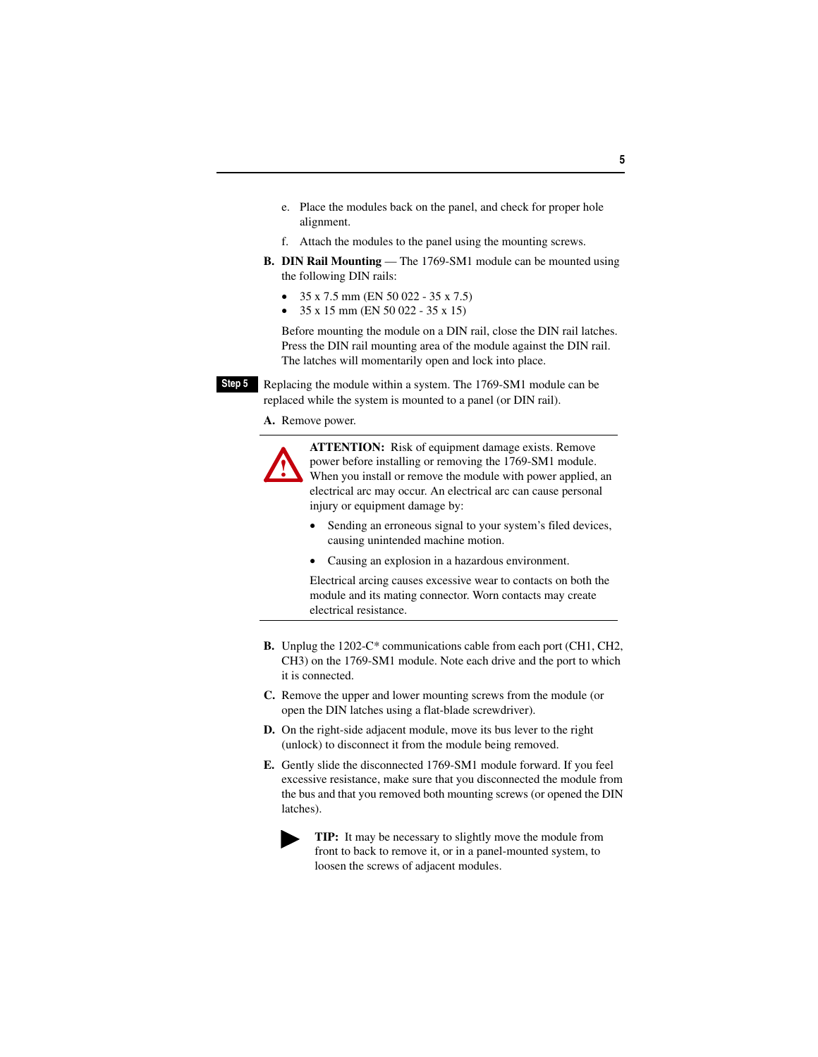- e. Place the modules back on the panel, and check for proper hole alignment.
- f. Attach the modules to the panel using the mounting screws.
- **B. DIN Rail Mounting** The 1769-SM1 module can be mounted using the following DIN rails:
	- •35 x 7.5 mm (EN 50 022 - 35 x 7.5)
	- •35 x 15 mm (EN 50 022 - 35 x 15)

Before mounting the module on a DIN rail, close the DIN rail latches. Press the DIN rail mounting area of the module against the DIN rail. The latches will momentarily open and lock into place.

**Step 5** Replacing the module within a system. The 1769-SM1 module can be replaced while the system is mounted to a panel (or DIN rail).

**A.** Remove power.

**!**

**ATTENTION:** Risk of equipment damage exists. Remove power before installing or removing the 1769-SM1 module. When you install or remove the module with power applied, an electrical arc may occur. An electrical arc can cause personal injury or equipment damage by:

- • Sending an erroneous signal to your system's filed devices, causing unintended machine motion.
- •Causing an explosion in a hazardous environment.

Electrical arcing causes excessive wear to contacts on both the module and its mating connector. Worn contacts may create electrical resistance.

- **B.** Unplug the 1202-C\* communications cable from each port (CH1, CH2, CH3) on the 1769-SM1 module. Note each drive and the port to which it is connected.
- **C.** Remove the upper and lower mounting screws from the module (or open the DIN latches using a flat-blade screwdriver).
- **D.** On the right-side adjacent module, move its bus lever to the right (unlock) to disconnect it from the module being removed.
- **E.** Gently slide the disconnected 1769-SM1 module forward. If you feel excessive resistance, make sure that you disconnected the module from the bus and that you removed both mounting screws (or opened the DIN latches).



**TIP:** It may be necessary to slightly move the module from front to back to remove it, or in a panel-mounted system, to loosen the screws of adjacent modules.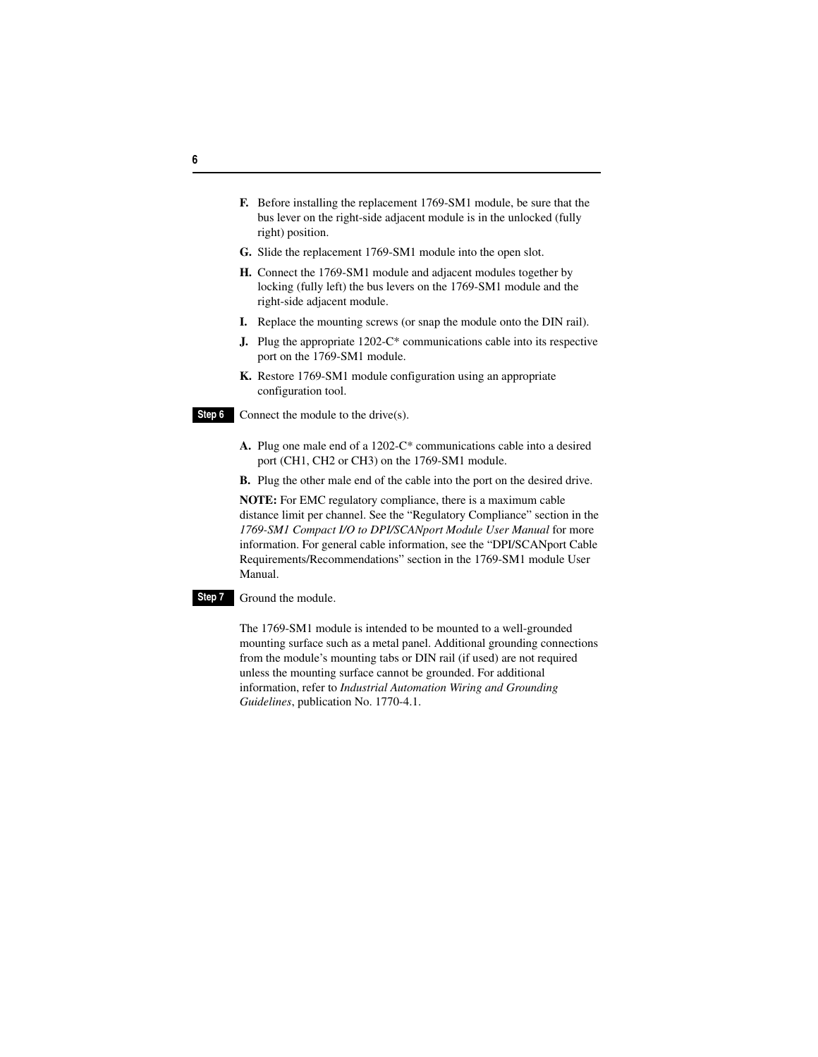- **F.** Before installing the replacement 1769-SM1 module, be sure that the bus lever on the right-side adjacent module is in the unlocked (fully right) position.
- **G.** Slide the replacement 1769-SM1 module into the open slot.
- **H.** Connect the 1769-SM1 module and adjacent modules together by locking (fully left) the bus levers on the 1769-SM1 module and the right-side adjacent module.
- **I.** Replace the mounting screws (or snap the module onto the DIN rail).
- **J.** Plug the appropriate 1202-C\* communications cable into its respective port on the 1769-SM1 module.
- **K.** Restore 1769-SM1 module configuration using an appropriate configuration tool.
- **Step 6** Connect the module to the drive(s).
	- **A.** Plug one male end of a 1202-C\* communications cable into a desired port (CH1, CH2 or CH3) on the 1769-SM1 module.
	- **B.** Plug the other male end of the cable into the port on the desired drive.

**NOTE:** For EMC regulatory compliance, there is a maximum cable distance limit per channel. See the "Regulatory Compliance" section in the *1769-SM1 Compact I/O to DPI/SCANport Module User Manual* for more information. For general cable information, see the "DPI/SCANport Cable Requirements/Recommendations" section in the 1769-SM1 module User Manual.

#### **Step 7** Ground the module.

The 1769-SM1 module is intended to be mounted to a well-grounded mounting surface such as a metal panel. Additional grounding connections from the module's mounting tabs or DIN rail (if used) are not required unless the mounting surface cannot be grounded. For additional information, refer to *Industrial Automation Wiring and Grounding Guidelines*, publication No. 1770-4.1.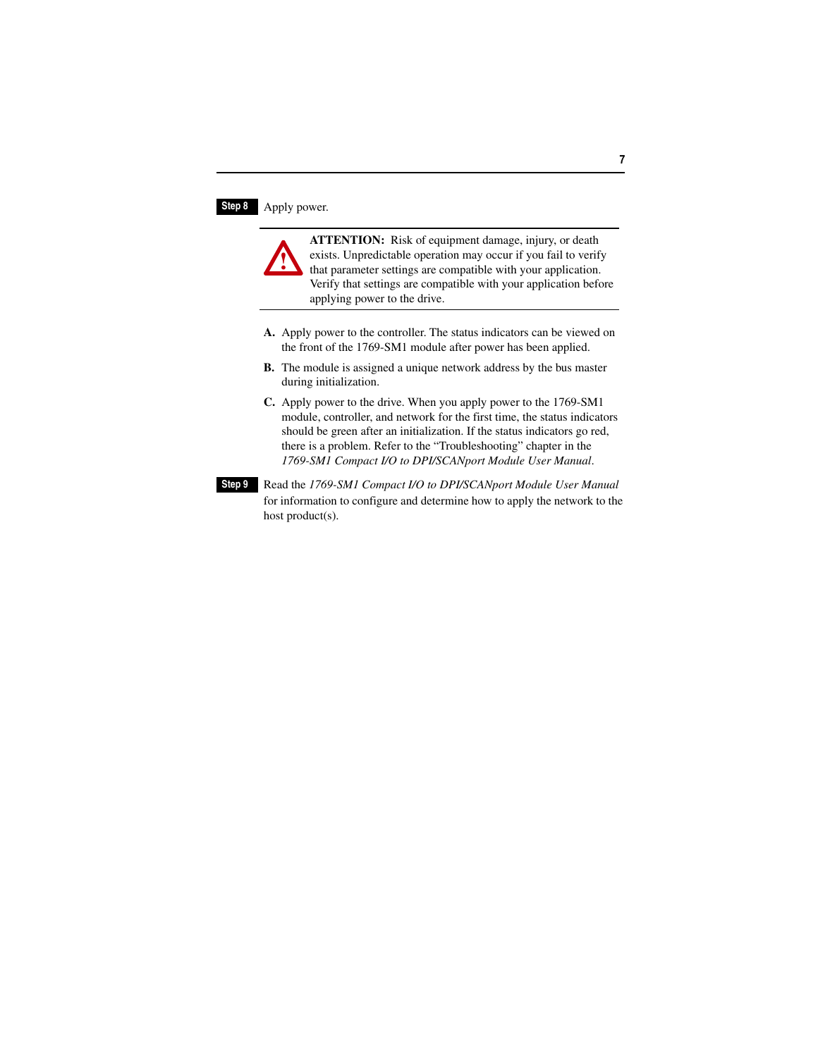## **Step 8** Apply power.



- **A.** Apply power to the controller. The status indicators can be viewed on the front of the 1769-SM1 module after power has been applied.
- **B.** The module is assigned a unique network address by the bus master during initialization.
- **C.** Apply power to the drive. When you apply power to the 1769-SM1 module, controller, and network for the first time, the status indicators should be green after an initialization. If the status indicators go red, there is a problem. Refer to the "Troubleshooting" chapter in the *1769-SM1 Compact I/O to DPI/SCANport Module User Manual*.
- **Step 9** Read the *1769-SM1 Compact I/O to DPI/SCANport Module User Manual* for information to configure and determine how to apply the network to the host product(s).